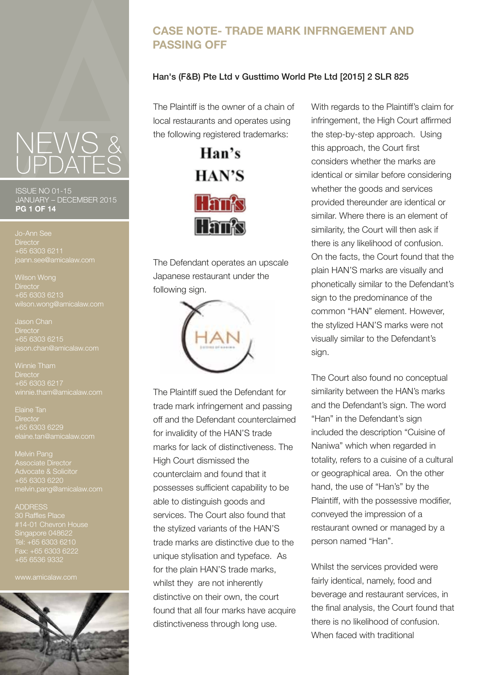# **CASE NOTE- TRADE MARK INFRNGEMENT AND PASSING OFF**

### Han's (F&B) Pte Ltd v Gusttimo World Pte Ltd [2015] 2 SLR 825

The Plaintiff is the owner of a chain of local restaurants and operates using the following registered trademarks:



The Defendant operates an upscale Japanese restaurant under the following sign.



The Plaintiff sued the Defendant for trade mark infringement and passing off and the Defendant counterclaimed for invalidity of the HAN'S trade marks for lack of distinctiveness. The High Court dismissed the counterclaim and found that it possesses sufficient capability to be able to distinguish goods and services. The Court also found that the stylized variants of the HAN'S trade marks are distinctive due to the unique stylisation and typeface. As for the plain HAN'S trade marks, whilst they are not inherently distinctive on their own, the court found that all four marks have acquire distinctiveness through long use.

With regards to the Plaintiff's claim for infringement, the High Court affirmed the step-by-step approach. Using this approach, the Court first considers whether the marks are identical or similar before considering whether the goods and services provided thereunder are identical or similar. Where there is an element of similarity, the Court will then ask if there is any likelihood of confusion. On the facts, the Court found that the plain HAN'S marks are visually and phonetically similar to the Defendant's sign to the predominance of the common "HAN" element. However, the stylized HAN'S marks were not visually similar to the Defendant's sign.

The Court also found no conceptual similarity between the HAN's marks and the Defendant's sign. The word "Han" in the Defendant's sign included the description "Cuisine of Naniwa" which when regarded in totality, refers to a cuisine of a cultural or geographical area. On the other hand, the use of "Han's" by the Plaintiff, with the possessive modifier, conveyed the impression of a restaurant owned or managed by a person named "Han".

Whilst the services provided were fairly identical, namely, food and beverage and restaurant services, in the final analysis, the Court found that there is no likelihood of confusion. When faced with traditional

ISSUE NO 01-15 JANUARY – DECEMBER 2015 **PG 1 OF 14**

**Director** +65 6303 6211

Wilson Wong **Director** +65 6303 6213 wilson.wong@amicalaw.com

Jason Chan **Director** +65 6303 6215 jason.chan@amicalaw.com

**Director** +65 6303 6217

Elaine Tan **Director** +65 6303 6229 elaine.tan@amicalaw.com

Melvin Pang Associate Director melvin.pang@amicalaw.com

#### ADDRESS

30 Raffles Place Singapore 048622 Tel: +65 6303 6210 Fax: +65 6303 6222 +65 6536 9332

www.amicalaw.com

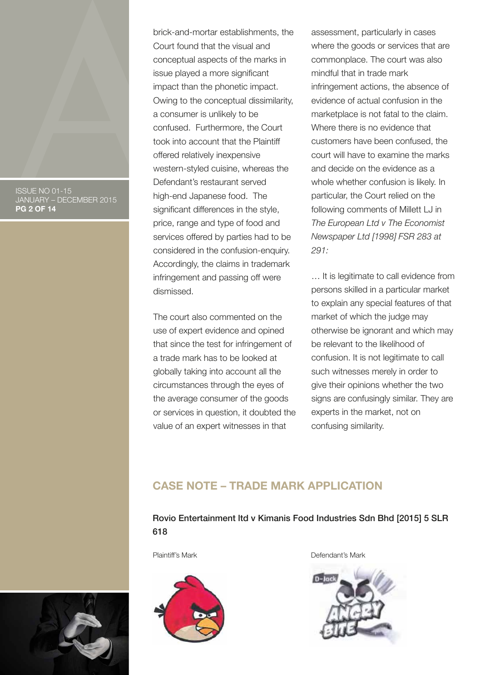ISSUE NO 01-15 JANUARY – DECEMBER 2015 **PG 2 OF 14**

brick-and-mortar establishments, the Court found that the visual and conceptual aspects of the marks in issue played a more significant impact than the phonetic impact. Owing to the conceptual dissimilarity, a consumer is unlikely to be confused. Furthermore, the Court took into account that the Plaintiff offered relatively inexpensive western-styled cuisine, whereas the Defendant's restaurant served high-end Japanese food. The significant differences in the style, price, range and type of food and services offered by parties had to be considered in the confusion-enquiry. Accordingly, the claims in trademark infringement and passing off were dismissed.

The court also commented on the use of expert evidence and opined that since the test for infringement of a trade mark has to be looked at globally taking into account all the circumstances through the eyes of the average consumer of the goods or services in question, it doubted the value of an expert witnesses in that

assessment, particularly in cases where the goods or services that are commonplace. The court was also mindful that in trade mark infringement actions, the absence of evidence of actual confusion in the marketplace is not fatal to the claim. Where there is no evidence that customers have been confused, the court will have to examine the marks and decide on the evidence as a whole whether confusion is likely. In particular, the Court relied on the following comments of Millett LJ in *The European Ltd v The Economist Newspaper Ltd [1998] FSR 283 at 291:* 

… It is legitimate to call evidence from persons skilled in a particular market to explain any special features of that market of which the judge may otherwise be ignorant and which may be relevant to the likelihood of confusion. It is not legitimate to call such witnesses merely in order to give their opinions whether the two signs are confusingly similar. They are experts in the market, not on confusing similarity.

# **CASE NOTE – TRADE MARK APPLICATION**

## Rovio Entertainment ltd v Kimanis Food Industries Sdn Bhd [2015] 5 SLR 618



Plaintiff's Mark **Defendant's Mark** 



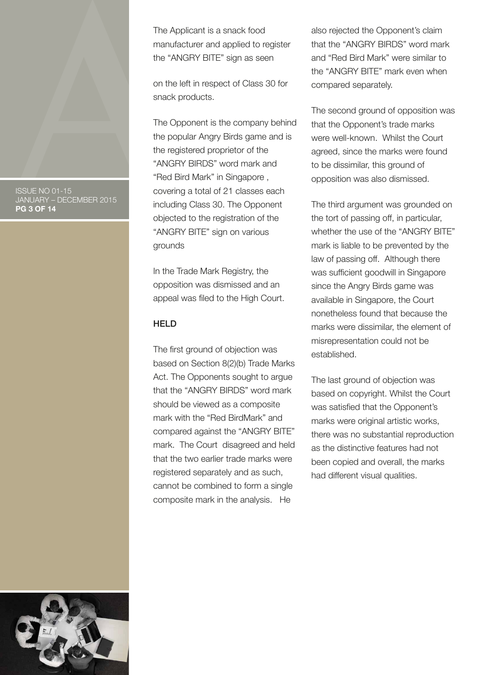ISSUE NO 01-15 JANUARY – DECEMBER 2015 **PG 3 OF 14**

The Applicant is a snack food manufacturer and applied to register the "ANGRY BITE" sign as seen

on the left in respect of Class 30 for snack products.

The Opponent is the company behind the popular Angry Birds game and is the registered proprietor of the "ANGRY BIRDS" word mark and "Red Bird Mark" in Singapore , covering a total of 21 classes each including Class 30. The Opponent objected to the registration of the "ANGRY BITE" sign on various grounds

In the Trade Mark Registry, the opposition was dismissed and an appeal was filed to the High Court.

#### **HELD**

The first ground of objection was based on Section 8(2)(b) Trade Marks Act. The Opponents sought to argue that the "ANGRY BIRDS" word mark should be viewed as a composite mark with the "Red BirdMark" and compared against the "ANGRY BITE" mark. The Court disagreed and held that the two earlier trade marks were registered separately and as such, cannot be combined to form a single composite mark in the analysis. He

also rejected the Opponent's claim that the "ANGRY BIRDS" word mark and "Red Bird Mark" were similar to the "ANGRY BITE" mark even when compared separately.

The second ground of opposition was that the Opponent's trade marks were well-known. Whilst the Court agreed, since the marks were found to be dissimilar, this ground of opposition was also dismissed.

The third argument was grounded on the tort of passing off, in particular, whether the use of the "ANGRY BITE" mark is liable to be prevented by the law of passing off. Although there was sufficient goodwill in Singapore since the Angry Birds game was available in Singapore, the Court nonetheless found that because the marks were dissimilar, the element of misrepresentation could not be established.

The last ground of objection was based on copyright. Whilst the Court was satisfied that the Opponent's marks were original artistic works, there was no substantial reproduction as the distinctive features had not been copied and overall, the marks had different visual qualities.

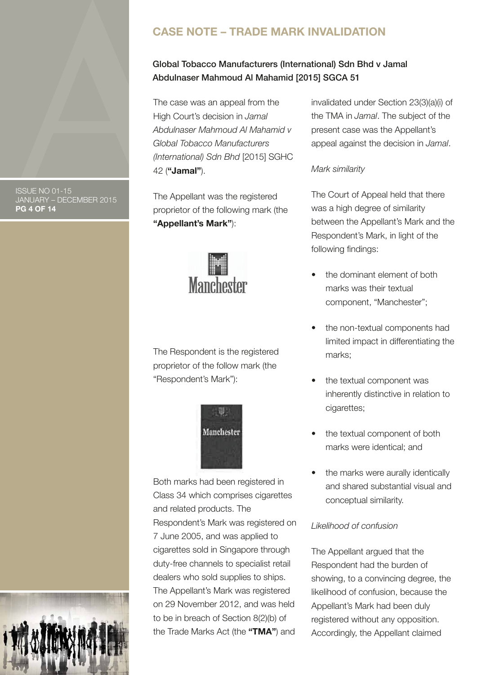# **CASE NOTE – TRADE MARK INVALIDATION**

# Global Tobacco Manufacturers (International) Sdn Bhd v Jamal Abdulnaser Mahmoud Al Mahamid [2015] SGCA 51

The case was an appeal from the High Court's decision in *Jamal Abdulnaser Mahmoud Al Mahamid v Global Tobacco Manufacturers (International) Sdn Bhd* [2015] SGHC 42 (**"Jamal"**).

The Appellant was the registered proprietor of the following mark (the **"Appellant's Mark"**):



The Respondent is the registered proprietor of the follow mark (the "Respondent's Mark"):



Both marks had been registered in Class 34 which comprises cigarettes and related products. The Respondent's Mark was registered on 7 June 2005, and was applied to cigarettes sold in Singapore through duty-free channels to specialist retail dealers who sold supplies to ships. The Appellant's Mark was registered on 29 November 2012, and was held to be in breach of Section 8(2)(b) of the Trade Marks Act (the **"TMA"**) and

invalidated under Section 23(3)(a)(i) of the TMA in *Jamal*. The subject of the present case was the Appellant's appeal against the decision in *Jamal*.

### *Mark similarity*

The Court of Appeal held that there was a high degree of similarity between the Appellant's Mark and the Respondent's Mark, in light of the following findings:

- the dominant element of both marks was their textual component, "Manchester";
- the non-textual components had limited impact in differentiating the marks;
- the textual component was inherently distinctive in relation to cigarettes;
- the textual component of both marks were identical; and
- the marks were aurally identically and shared substantial visual and conceptual similarity.

### *Likelihood of confusion*

The Appellant argued that the Respondent had the burden of showing, to a convincing degree, the likelihood of confusion, because the Appellant's Mark had been duly registered without any opposition. Accordingly, the Appellant claimed

ISSUE NO 01-15 JANUARY – DECEMBER 2015 **PG 4 OF 14**

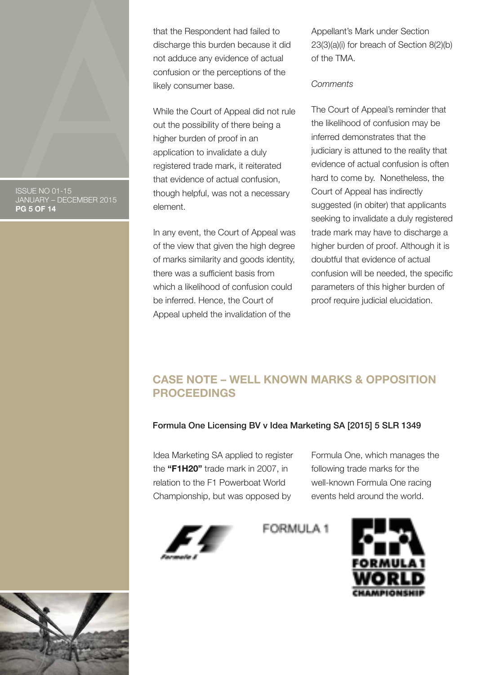ISSUE NO 01-15 JANUARY – DECEMBER 2015 **PG 5 OF 14**

that the Respondent had failed to discharge this burden because it did not adduce any evidence of actual confusion or the perceptions of the likely consumer base.

While the Court of Appeal did not rule out the possibility of there being a higher burden of proof in an application to invalidate a duly registered trade mark, it reiterated that evidence of actual confusion, though helpful, was not a necessary element.

In any event, the Court of Appeal was of the view that given the high degree of marks similarity and goods identity, there was a sufficient basis from which a likelihood of confusion could be inferred. Hence, the Court of Appeal upheld the invalidation of the

Appellant's Mark under Section 23(3)(a)(i) for breach of Section 8(2)(b) of the TMA.

#### *Comments*

The Court of Appeal's reminder that the likelihood of confusion may be inferred demonstrates that the judiciary is attuned to the reality that evidence of actual confusion is often hard to come by. Nonetheless, the Court of Appeal has indirectly suggested (in obiter) that applicants seeking to invalidate a duly registered trade mark may have to discharge a higher burden of proof. Although it is doubtful that evidence of actual confusion will be needed, the specific parameters of this higher burden of proof require judicial elucidation.

# **CASE NOTE – WELL KNOWN MARKS & OPPOSITION PROCEEDINGS**

### Formula One Licensing BV v Idea Marketing SA [2015] 5 SLR 1349

Idea Marketing SA applied to register the **"F1H20"** trade mark in 2007, in relation to the F1 Powerboat World Championship, but was opposed by

Formula One, which manages the following trade marks for the well-known Formula One racing events held around the world.



FORMULA 1



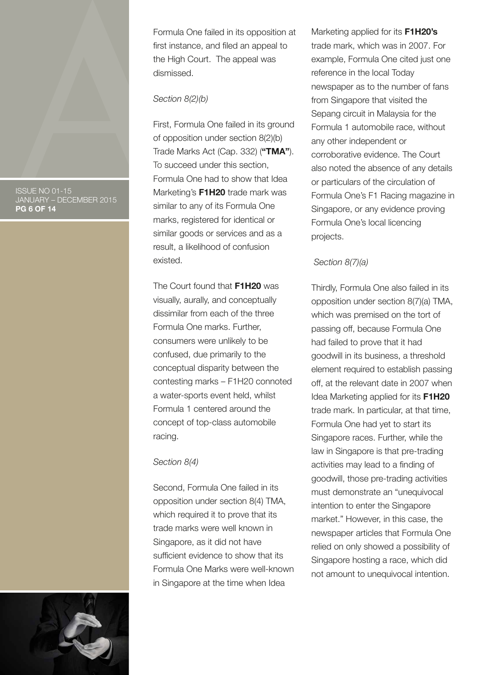ISSUE NO 01-15 JANUARY – DECEMBER 2015 **PG 6 OF 14**

Formula One failed in its opposition at first instance, and filed an appeal to the High Court. The appeal was dismissed.

#### *Section 8(2)(b)*

First, Formula One failed in its ground of opposition under section 8(2)(b) Trade Marks Act (Cap. 332) (**"TMA"**). To succeed under this section, Formula One had to show that Idea Marketing's **F1H20** trade mark was similar to any of its Formula One marks, registered for identical or similar goods or services and as a result, a likelihood of confusion existed.

The Court found that **F1H20** was visually, aurally, and conceptually dissimilar from each of the three Formula One marks. Further, consumers were unlikely to be confused, due primarily to the conceptual disparity between the contesting marks – F1H20 connoted a water-sports event held, whilst Formula 1 centered around the concept of top-class automobile racing.

#### *Section 8(4)*

Second, Formula One failed in its opposition under section 8(4) TMA, which required it to prove that its trade marks were well known in Singapore, as it did not have sufficient evidence to show that its Formula One Marks were well-known in Singapore at the time when Idea

Marketing applied for its **F1H20's**  trade mark, which was in 2007. For example, Formula One cited just one reference in the local Today newspaper as to the number of fans from Singapore that visited the Sepang circuit in Malaysia for the Formula 1 automobile race, without any other independent or corroborative evidence. The Court also noted the absence of any details or particulars of the circulation of Formula One's F1 Racing magazine in Singapore, or any evidence proving Formula One's local licencing projects.

### *Section 8(7)(a)*

Thirdly, Formula One also failed in its opposition under section 8(7)(a) TMA, which was premised on the tort of passing off, because Formula One had failed to prove that it had goodwill in its business, a threshold element required to establish passing off, at the relevant date in 2007 when Idea Marketing applied for its **F1H20**  trade mark. In particular, at that time, Formula One had yet to start its Singapore races. Further, while the law in Singapore is that pre-trading activities may lead to a finding of goodwill, those pre-trading activities must demonstrate an "unequivocal intention to enter the Singapore market." However, in this case, the newspaper articles that Formula One relied on only showed a possibility of Singapore hosting a race, which did not amount to unequivocal intention.

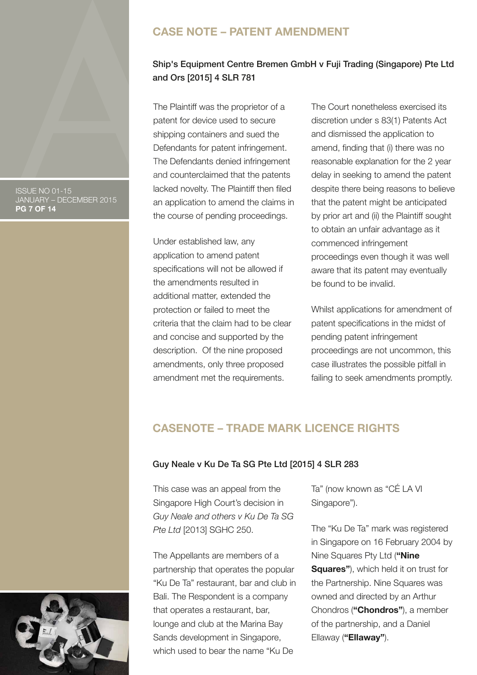#### ISSUE NO 01-15 JANUARY – DECEMBER 2015 **PG 7 OF 14**

# **CASE NOTE – PATENT AMENDMENT**

# Ship's Equipment Centre Bremen GmbH v Fuji Trading (Singapore) Pte Ltd and Ors [2015] 4 SLR 781

The Plaintiff was the proprietor of a patent for device used to secure shipping containers and sued the Defendants for patent infringement. The Defendants denied infringement and counterclaimed that the patents lacked novelty. The Plaintiff then filed an application to amend the claims in the course of pending proceedings.

Under established law, any application to amend patent specifications will not be allowed if the amendments resulted in additional matter, extended the protection or failed to meet the criteria that the claim had to be clear and concise and supported by the description. Of the nine proposed amendments, only three proposed amendment met the requirements.

The Court nonetheless exercised its discretion under s 83(1) Patents Act and dismissed the application to amend, finding that (i) there was no reasonable explanation for the 2 year delay in seeking to amend the patent despite there being reasons to believe that the patent might be anticipated by prior art and (ii) the Plaintiff sought to obtain an unfair advantage as it commenced infringement proceedings even though it was well aware that its patent may eventually be found to be invalid.

Whilst applications for amendment of patent specifications in the midst of pending patent infringement proceedings are not uncommon, this case illustrates the possible pitfall in failing to seek amendments promptly.

# **CASENOTE – TRADE MARK LICENCE RIGHTS**

#### Guy Neale v Ku De Ta SG Pte Ltd [2015] 4 SLR 283

This case was an appeal from the Singapore High Court's decision in *Guy Neale and others v Ku De Ta SG Pte Ltd* [2013] SGHC 250.

The Appellants are members of a partnership that operates the popular "Ku De Ta" restaurant, bar and club in Bali. The Respondent is a company that operates a restaurant, bar, lounge and club at the Marina Bay Sands development in Singapore, which used to bear the name "Ku De

Ta" (now known as "CÉ LA VI Singapore").

The "Ku De Ta" mark was registered in Singapore on 16 February 2004 by Nine Squares Pty Ltd (**"Nine Squares"**), which held it on trust for the Partnership. Nine Squares was owned and directed by an Arthur Chondros (**"Chondros"**), a member of the partnership, and a Daniel Ellaway (**"Ellaway"**).

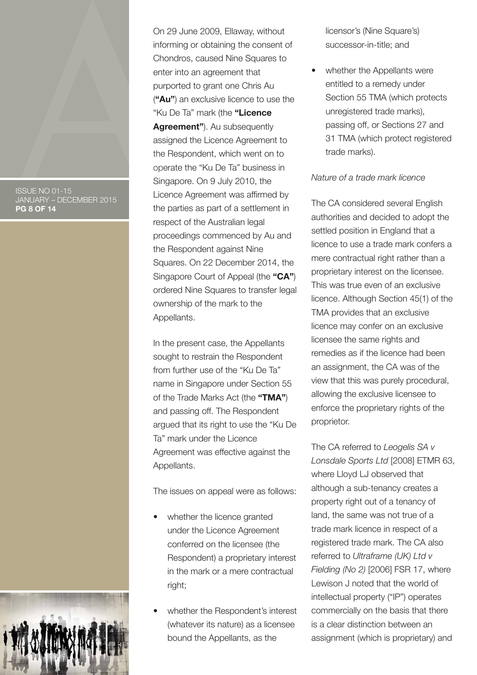#### ISSUE NO 01-15 JANUARY – DECEMBER 2015 **PG 8 OF 14**



In the present case, the Appellants sought to restrain the Respondent from further use of the "Ku De Ta" name in Singapore under Section 55 of the Trade Marks Act (the **"TMA"**) and passing off. The Respondent argued that its right to use the "Ku De Ta" mark under the Licence Agreement was effective against the Appellants.

The issues on appeal were as follows:

- whether the licence granted under the Licence Agreement conferred on the licensee (the Respondent) a proprietary interest in the mark or a mere contractual right;
- whether the Respondent's interest (whatever its nature) as a licensee bound the Appellants, as the

licensor's (Nine Square's) successor-in-title; and

whether the Appellants were entitled to a remedy under Section 55 TMA (which protects unregistered trade marks), passing off, or Sections 27 and 31 TMA (which protect registered trade marks).

### *Nature of a trade mark licence*

The CA considered several English authorities and decided to adopt the settled position in England that a licence to use a trade mark confers a mere contractual right rather than a proprietary interest on the licensee. This was true even of an exclusive licence. Although Section 45(1) of the TMA provides that an exclusive licence may confer on an exclusive licensee the same rights and remedies as if the licence had been an assignment, the CA was of the view that this was purely procedural, allowing the exclusive licensee to enforce the proprietary rights of the proprietor.

The CA referred to *Leogelis SA v Lonsdale Sports Ltd* [2008] ETMR 63, where Lloyd LJ observed that although a sub-tenancy creates a property right out of a tenancy of land, the same was not true of a trade mark licence in respect of a registered trade mark. The CA also referred to *Ultraframe (UK) Ltd v Fielding (No 2)* [2006] FSR 17, where Lewison J noted that the world of intellectual property ("IP") operates commercially on the basis that there is a clear distinction between an assignment (which is proprietary) and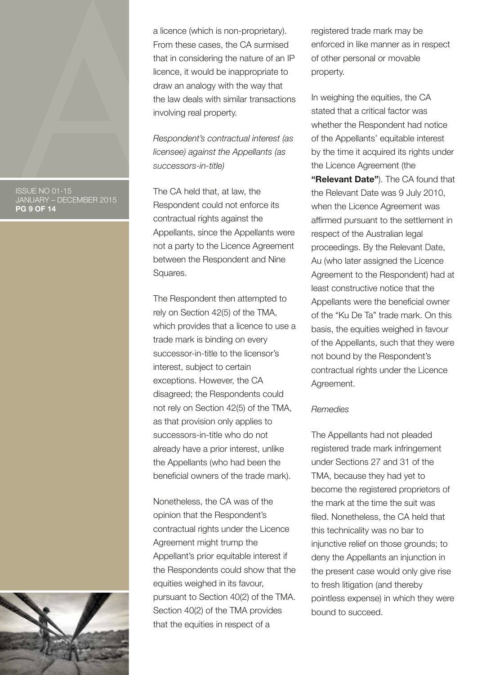ISSUE NO 01-15 JANUARY – DECEMBER 2015 **PG 9 OF 14**



*Respondent's contractual interest (as licensee) against the Appellants (as successors-in-title)*

The CA held that, at law, the Respondent could not enforce its contractual rights against the Appellants, since the Appellants were not a party to the Licence Agreement between the Respondent and Nine Squares.

The Respondent then attempted to rely on Section 42(5) of the TMA, which provides that a licence to use a trade mark is binding on every successor-in-title to the licensor's interest, subject to certain exceptions. However, the CA disagreed; the Respondents could not rely on Section 42(5) of the TMA, as that provision only applies to successors-in-title who do not already have a prior interest, unlike the Appellants (who had been the beneficial owners of the trade mark).

Nonetheless, the CA was of the opinion that the Respondent's contractual rights under the Licence Agreement might trump the Appellant's prior equitable interest if the Respondents could show that the equities weighed in its favour, pursuant to Section 40(2) of the TMA. Section 40(2) of the TMA provides that the equities in respect of a

registered trade mark may be enforced in like manner as in respect of other personal or movable property.

In weighing the equities, the CA stated that a critical factor was whether the Respondent had notice of the Appellants' equitable interest by the time it acquired its rights under the Licence Agreement (the **"Relevant Date"**). The CA found that the Relevant Date was 9 July 2010, when the Licence Agreement was affirmed pursuant to the settlement in respect of the Australian legal proceedings. By the Relevant Date, Au (who later assigned the Licence Agreement to the Respondent) had at least constructive notice that the Appellants were the beneficial owner of the "Ku De Ta" trade mark. On this basis, the equities weighed in favour of the Appellants, such that they were not bound by the Respondent's contractual rights under the Licence Agreement.

### *Remedies*

The Appellants had not pleaded registered trade mark infringement under Sections 27 and 31 of the TMA, because they had yet to become the registered proprietors of the mark at the time the suit was filed. Nonetheless, the CA held that this technicality was no bar to injunctive relief on those grounds; to deny the Appellants an injunction in the present case would only give rise to fresh litigation (and thereby pointless expense) in which they were bound to succeed.

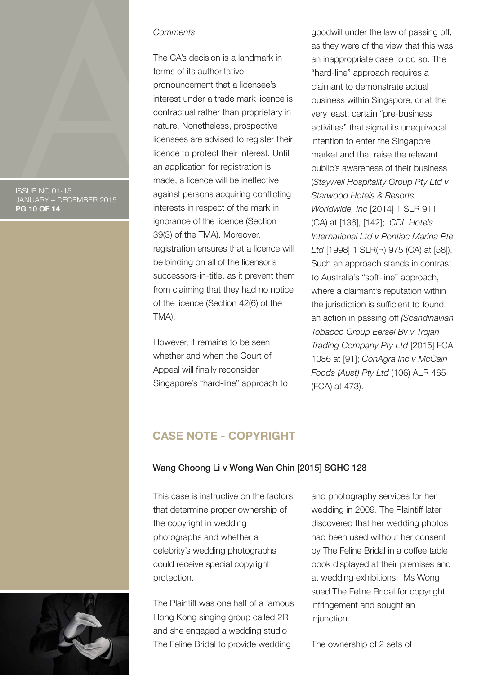ISSUE NO 01-15 JANUARY – DECEMBER 2015 **PG 10 OF 14**

#### *Comments*

The CA's decision is a landmark in terms of its authoritative pronouncement that a licensee's interest under a trade mark licence is contractual rather than proprietary in nature. Nonetheless, prospective licensees are advised to register their licence to protect their interest. Until an application for registration is made, a licence will be ineffective against persons acquiring conflicting interests in respect of the mark in ignorance of the licence (Section 39(3) of the TMA). Moreover, registration ensures that a licence will be binding on all of the licensor's successors-in-title, as it prevent them from claiming that they had no notice of the licence (Section 42(6) of the TMA).

However, it remains to be seen whether and when the Court of Appeal will finally reconsider Singapore's "hard-line" approach to

goodwill under the law of passing off, as they were of the view that this was an inappropriate case to do so. The "hard-line" approach requires a claimant to demonstrate actual business within Singapore, or at the very least, certain "pre-business activities" that signal its unequivocal intention to enter the Singapore market and that raise the relevant public's awareness of their business (*Staywell Hospitality Group Pty Ltd v Starwood Hotels & Resorts Worldwide, Inc* [2014] 1 SLR 911 (CA) at [136], [142]; *CDL Hotels International Ltd v Pontiac Marina Pte Ltd* [1998] 1 SLR(R) 975 (CA) at [58]). Such an approach stands in contrast to Australia's "soft-line" approach, where a claimant's reputation within the jurisdiction is sufficient to found an action in passing off *(Scandinavian Tobacco Group Eersel Bv v Trojan Trading Company Pty Ltd* [2015] FCA 1086 at [91]; *ConAgra Inc v McCain Foods (Aust) Pty Ltd* (106) ALR 465 (FCA) at 473).

# **CASE NOTE - COPYRIGHT**

#### Wang Choong Li v Wong Wan Chin [2015] SGHC 128

This case is instructive on the factors that determine proper ownership of the copyright in wedding photographs and whether a celebrity's wedding photographs could receive special copyright protection.

The Plaintiff was one half of a famous Hong Kong singing group called 2R and she engaged a wedding studio The Feline Bridal to provide wedding

and photography services for her wedding in 2009. The Plaintiff later discovered that her wedding photos had been used without her consent by The Feline Bridal in a coffee table book displayed at their premises and at wedding exhibitions. Ms Wong sued The Feline Bridal for copyright infringement and sought an injunction.

The ownership of 2 sets of

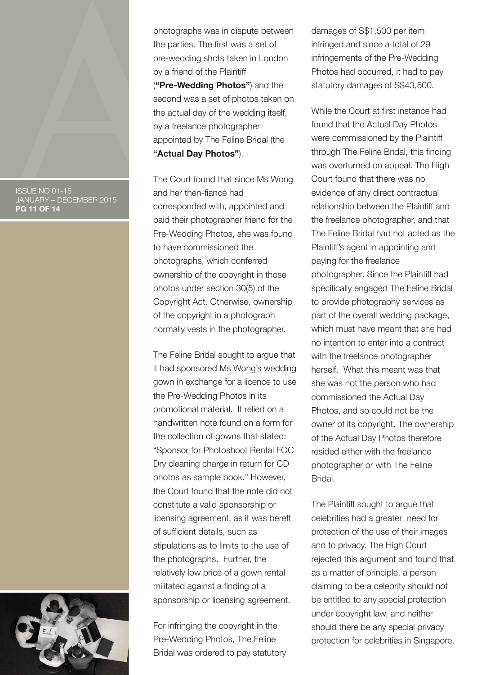ISSUE NO 01-15 JANUARY – DECEMBER 2015 **PG 11 OF 14**



photographs was in dispute between the parties. The first was a set of pre-wedding shots taken in London by a friend of the Plaintiff (**"Pre-Wedding Photos"**) and the second was a set of photos taken on the actual day of the wedding itself, by a freelance photographer appointed by The Feline Bridal (the **"Actual Day Photos"**).

The Court found that since Ms Wong and her then-fiancé had corresponded with, appointed and paid their photographer friend for the Pre-Wedding Photos, she was found to have commissioned the photographs, which conferred ownership of the copyright in those photos under section 30(5) of the Copyright Act. Otherwise, ownership of the copyright in a photograph normally vests in the photographer.

The Feline Bridal sought to argue that it had sponsored Ms Wong's wedding gown in exchange for a licence to use the Pre-Wedding Photos in its promotional material. It relied on a handwritten note found on a form for the collection of gowns that stated: "Sponsor for Photoshoot Rental FOC Dry cleaning charge in return for CD photos as sample book." However, the Court found that the note did not constitute a valid sponsorship or licensing agreement, as it was bereft of sufficient details, such as stipulations as to limits to the use of the photographs. Further, the relatively low price of a gown rental militated against a finding of a sponsorship or licensing agreement.

For infringing the copyright in the Pre-Wedding Photos, The Feline Bridal was ordered to pay statutory damages of S\$1,500 per item infringed and since a total of 29 infringements of the Pre-Wedding Photos had occurred, it had to pay statutory damages of S\$43,500.

While the Court at first instance had found that the Actual Day Photos were commissioned by the Plaintiff through The Feline Bridal, this finding was overturned on appeal. The High Court found that there was no evidence of any direct contractual relationship between the Plaintiff and the freelance photographer, and that The Feline Bridal had not acted as the Plaintiff's agent in appointing and paying for the freelance photographer. Since the Plaintiff had specifically engaged The Feline Bridal to provide photography services as part of the overall wedding package, which must have meant that she had no intention to enter into a contract with the freelance photographer herself. What this meant was that she was not the person who had commissioned the Actual Day Photos, and so could not be the owner of its copyright. The ownership of the Actual Day Photos therefore resided either with the freelance photographer or with The Feline Bridal.

The Plaintiff sought to argue that celebrities had a greater need for protection of the use of their images and to privacy. The High Court rejected this argument and found that as a matter of principle, a person claiming to be a celebrity should not be entitled to any special protection under copyright law, and neither should there be any special privacy protection for celebrities in Singapore.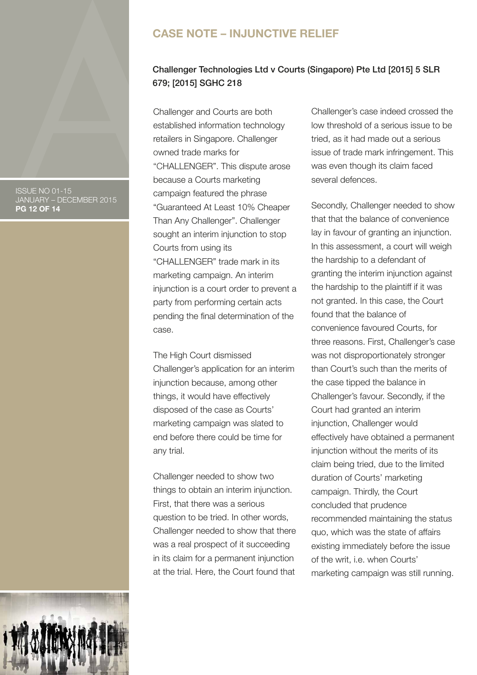#### ISSUE NO 01-15 JANUARY – DECEMBER 2015 **PG 12 OF 14**

# **CASE NOTE – INJUNCTIVE RELIEF**

### Challenger Technologies Ltd v Courts (Singapore) Pte Ltd [2015] 5 SLR 679; [2015] SGHC 218

Challenger and Courts are both established information technology retailers in Singapore. Challenger owned trade marks for "CHALLENGER". This dispute arose because a Courts marketing campaign featured the phrase "Guaranteed At Least 10% Cheaper Than Any Challenger". Challenger sought an interim injunction to stop Courts from using its "CHALLENGER" trade mark in its marketing campaign. An interim injunction is a court order to prevent a party from performing certain acts pending the final determination of the case.

The High Court dismissed Challenger's application for an interim injunction because, among other things, it would have effectively disposed of the case as Courts' marketing campaign was slated to end before there could be time for any trial.

Challenger needed to show two things to obtain an interim injunction. First, that there was a serious question to be tried. In other words, Challenger needed to show that there was a real prospect of it succeeding in its claim for a permanent injunction at the trial. Here, the Court found that

Challenger's case indeed crossed the low threshold of a serious issue to be tried, as it had made out a serious issue of trade mark infringement. This was even though its claim faced several defences.

Secondly, Challenger needed to show that that the balance of convenience lay in favour of granting an injunction. In this assessment, a court will weigh the hardship to a defendant of granting the interim injunction against the hardship to the plaintiff if it was not granted. In this case, the Court found that the balance of convenience favoured Courts, for three reasons. First, Challenger's case was not disproportionately stronger than Court's such than the merits of the case tipped the balance in Challenger's favour. Secondly, if the Court had granted an interim injunction, Challenger would effectively have obtained a permanent injunction without the merits of its claim being tried, due to the limited duration of Courts' marketing campaign. Thirdly, the Court concluded that prudence recommended maintaining the status quo, which was the state of affairs existing immediately before the issue of the writ, i.e. when Courts' marketing campaign was still running.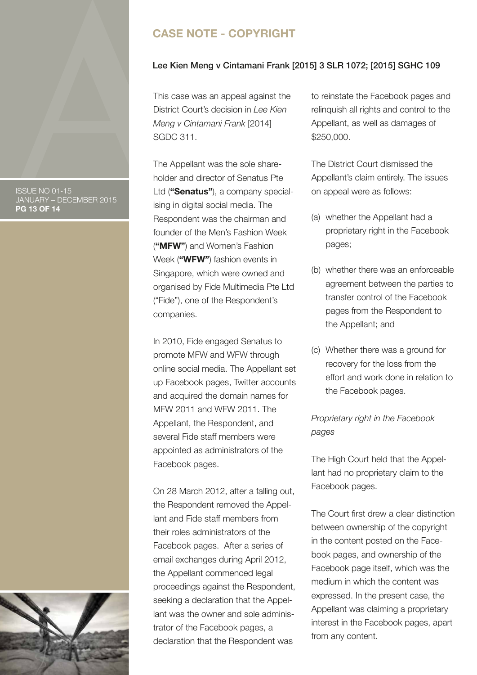# **CASE NOTE - COPYRIGHT**

#### Lee Kien Meng v Cintamani Frank [2015] 3 SLR 1072; [2015] SGHC 109

This case was an appeal against the District Court's decision in *Lee Kien Meng v Cintamani Frank* [2014] SGDC 311.

The Appellant was the sole shareholder and director of Senatus Pte Ltd (**"Senatus"**), a company specialising in digital social media. The Respondent was the chairman and founder of the Men's Fashion Week (**"MFW"**) and Women's Fashion Week (**"WFW"**) fashion events in Singapore, which were owned and organised by Fide Multimedia Pte Ltd ("Fide"), one of the Respondent's companies.

In 2010, Fide engaged Senatus to promote MFW and WFW through online social media. The Appellant set up Facebook pages, Twitter accounts and acquired the domain names for MFW 2011 and WFW 2011. The Appellant, the Respondent, and several Fide staff members were appointed as administrators of the Facebook pages.

On 28 March 2012, after a falling out, the Respondent removed the Appellant and Fide staff members from their roles administrators of the Facebook pages. After a series of email exchanges during April 2012, the Appellant commenced legal proceedings against the Respondent, seeking a declaration that the Appellant was the owner and sole administrator of the Facebook pages, a declaration that the Respondent was

to reinstate the Facebook pages and relinquish all rights and control to the Appellant, as well as damages of \$250,000.

The District Court dismissed the Appellant's claim entirely. The issues on appeal were as follows:

- (a) whether the Appellant had a proprietary right in the Facebook pages;
- (b) whether there was an enforceable agreement between the parties to transfer control of the Facebook pages from the Respondent to the Appellant; and
- (c) Whether there was a ground for recovery for the loss from the effort and work done in relation to the Facebook pages.

### *Proprietary right in the Facebook pages*

The High Court held that the Appellant had no proprietary claim to the Facebook pages.

The Court first drew a clear distinction between ownership of the copyright in the content posted on the Facebook pages, and ownership of the Facebook page itself, which was the medium in which the content was expressed. In the present case, the Appellant was claiming a proprietary interest in the Facebook pages, apart from any content.

ISSUE NO 01-15 JANUARY – DECEMBER 2015 **PG 13 OF 14**